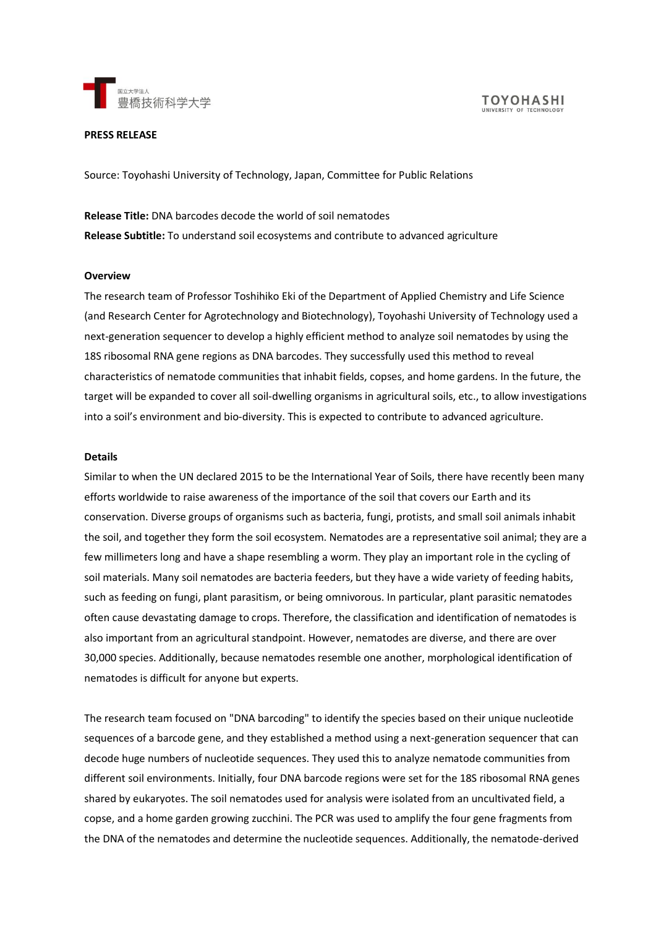

# **PRESS RELEASE**

Source: Toyohashi University of Technology, Japan, Committee for Public Relations

**Release Title:** DNA barcodes decode the world of soil nematodes **Release Subtitle:** To understand soil ecosystems and contribute to advanced agriculture

#### **Overview**

The research team of Professor Toshihiko Eki of the Department of Applied Chemistry and Life Science (and Research Center for Agrotechnology and Biotechnology), Toyohashi University of Technology used a next-generation sequencer to develop a highly efficient method to analyze soil nematodes by using the 18S ribosomal RNA gene regions as DNA barcodes. They successfully used this method to reveal characteristics of nematode communities that inhabit fields, copses, and home gardens. In the future, the target will be expanded to cover all soil-dwelling organisms in agricultural soils, etc., to allow investigations into a soil's environment and bio-diversity. This is expected to contribute to advanced agriculture.

#### **Details**

Similar to when the UN declared 2015 to be the International Year of Soils, there have recently been many efforts worldwide to raise awareness of the importance of the soil that covers our Earth and its conservation. Diverse groups of organisms such as bacteria, fungi, protists, and small soil animals inhabit the soil, and together they form the soil ecosystem. Nematodes are a representative soil animal; they are a few millimeters long and have a shape resembling a worm. They play an important role in the cycling of soil materials. Many soil nematodes are bacteria feeders, but they have a wide variety of feeding habits, such as feeding on fungi, plant parasitism, or being omnivorous. In particular, plant parasitic nematodes often cause devastating damage to crops. Therefore, the classification and identification of nematodes is also important from an agricultural standpoint. However, nematodes are diverse, and there are over 30,000 species. Additionally, because nematodes resemble one another, morphological identification of nematodes is difficult for anyone but experts.

The research team focused on "DNA barcoding" to identify the species based on their unique nucleotide sequences of a barcode gene, and they established a method using a next-generation sequencer that can decode huge numbers of nucleotide sequences. They used this to analyze nematode communities from different soil environments. Initially, four DNA barcode regions were set for the 18S ribosomal RNA genes shared by eukaryotes. The soil nematodes used for analysis were isolated from an uncultivated field, a copse, and a home garden growing zucchini. The PCR was used to amplify the four gene fragments from the DNA of the nematodes and determine the nucleotide sequences. Additionally, the nematode-derived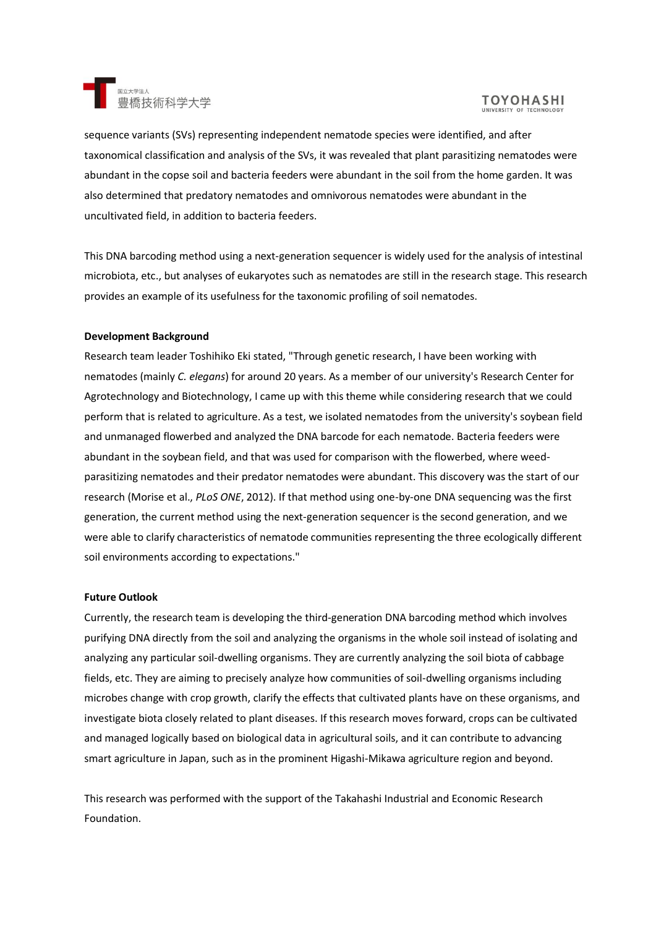

# **TOYOHASHI**

sequence variants (SVs) representing independent nematode species were identified, and after taxonomical classification and analysis of the SVs, it was revealed that plant parasitizing nematodes were abundant in the copse soil and bacteria feeders were abundant in the soil from the home garden. It was also determined that predatory nematodes and omnivorous nematodes were abundant in the uncultivated field, in addition to bacteria feeders.

This DNA barcoding method using a next-generation sequencer is widely used for the analysis of intestinal microbiota, etc., but analyses of eukaryotes such as nematodes are still in the research stage. This research provides an example of its usefulness for the taxonomic profiling of soil nematodes.

### **Development Background**

Research team leader Toshihiko Eki stated, "Through genetic research, I have been working with nematodes (mainly *C. elegans*) for around 20 years. As a member of our university's Research Center for Agrotechnology and Biotechnology, I came up with this theme while considering research that we could perform that is related to agriculture. As a test, we isolated nematodes from the university's soybean field and unmanaged flowerbed and analyzed the DNA barcode for each nematode. Bacteria feeders were abundant in the soybean field, and that was used for comparison with the flowerbed, where weedparasitizing nematodes and their predator nematodes were abundant. This discovery was the start of our research (Morise et al., *PLoS ONE*, 2012). If that method using one-by-one DNA sequencing was the first generation, the current method using the next-generation sequencer is the second generation, and we were able to clarify characteristics of nematode communities representing the three ecologically different soil environments according to expectations."

# **Future Outlook**

Currently, the research team is developing the third-generation DNA barcoding method which involves purifying DNA directly from the soil and analyzing the organisms in the whole soil instead of isolating and analyzing any particular soil-dwelling organisms. They are currently analyzing the soil biota of cabbage fields, etc. They are aiming to precisely analyze how communities of soil-dwelling organisms including microbes change with crop growth, clarify the effects that cultivated plants have on these organisms, and investigate biota closely related to plant diseases. If this research moves forward, crops can be cultivated and managed logically based on biological data in agricultural soils, and it can contribute to advancing smart agriculture in Japan, such as in the prominent Higashi-Mikawa agriculture region and beyond.

This research was performed with the support of the Takahashi Industrial and Economic Research Foundation.